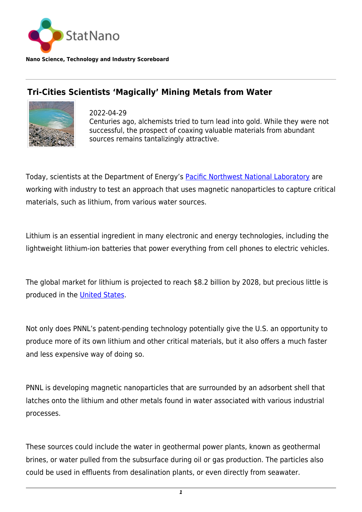

**Nano Science, Technology and Industry Scoreboard**

## **Tri-Cities Scientists 'Magically' Mining Metals from Water**



2022-04-29 Centuries ago, alchemists tried to turn lead into gold. While they were not successful, the prospect of coaxing valuable materials from abundant sources remains tantalizingly attractive.

Today, scientists at the Department of Energy's [Pacific Northwest National Laboratory](https://statnano.com/org/Pacific-Northwest-National-Laboratory) are working with industry to test an approach that uses magnetic nanoparticles to capture critical materials, such as lithium, from various water sources.

Lithium is an essential ingredient in many electronic and energy technologies, including the lightweight lithium-ion batteries that power everything from cell phones to electric vehicles.

The global market for lithium is projected to reach \$8.2 billion by 2028, but precious little is produced in the [United States.](http://statnano.com/country/USA)

Not only does PNNL's patent-pending technology potentially give the U.S. an opportunity to produce more of its own lithium and other critical materials, but it also offers a much faster and less expensive way of doing so.

PNNL is developing magnetic nanoparticles that are surrounded by an adsorbent shell that latches onto the lithium and other metals found in water associated with various industrial processes.

These sources could include the water in geothermal power plants, known as geothermal brines, or water pulled from the subsurface during oil or gas production. The particles also could be used in effluents from desalination plants, or even directly from seawater.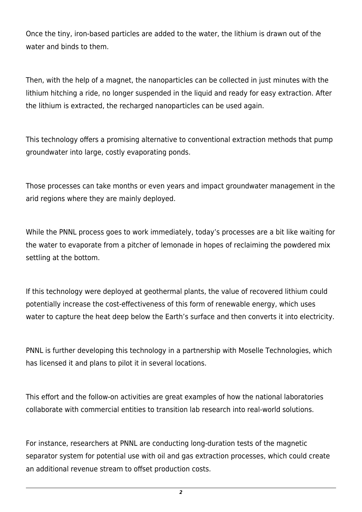Once the tiny, iron-based particles are added to the water, the lithium is drawn out of the water and binds to them.

Then, with the help of a magnet, the nanoparticles can be collected in just minutes with the lithium hitching a ride, no longer suspended in the liquid and ready for easy extraction. After the lithium is extracted, the recharged nanoparticles can be used again.

This technology offers a promising alternative to conventional extraction methods that pump groundwater into large, costly evaporating ponds.

Those processes can take months or even years and impact groundwater management in the arid regions where they are mainly deployed.

While the PNNL process goes to work immediately, today's processes are a bit like waiting for the water to evaporate from a pitcher of lemonade in hopes of reclaiming the powdered mix settling at the bottom.

If this technology were deployed at geothermal plants, the value of recovered lithium could potentially increase the cost-effectiveness of this form of renewable energy, which uses water to capture the heat deep below the Earth's surface and then converts it into electricity.

PNNL is further developing this technology in a partnership with Moselle Technologies, which has licensed it and plans to pilot it in several locations.

This effort and the follow-on activities are great examples of how the national laboratories collaborate with commercial entities to transition lab research into real-world solutions.

For instance, researchers at PNNL are conducting long-duration tests of the magnetic separator system for potential use with oil and gas extraction processes, which could create an additional revenue stream to offset production costs.

*2*